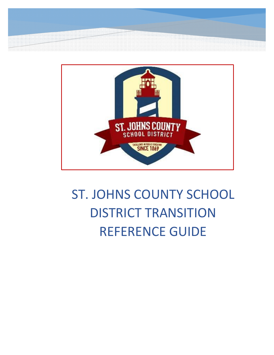



# ST. JOHNS COUNTY SCHOOL DISTRICT TRANSITION REFERENCE GUIDE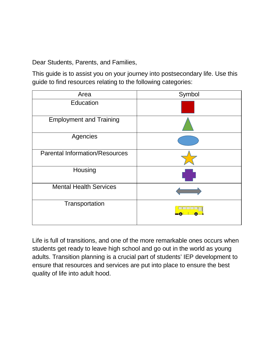Dear Students, Parents, and Families,

This guide is to assist you on your journey into postsecondary life. Use this guide to find resources relating to the following categories:

| Area                                  | Symbol |
|---------------------------------------|--------|
| Education                             |        |
| <b>Employment and Training</b>        |        |
| Agencies                              |        |
| <b>Parental Information/Resources</b> |        |
| Housing                               |        |
| <b>Mental Health Services</b>         |        |
| Transportation                        |        |

Life is full of transitions, and one of the more remarkable ones occurs when students get ready to leave high school and go out in the world as young adults. Transition planning is a crucial part of students' IEP development to ensure that resources and services are put into place to ensure the best quality of life into adult hood.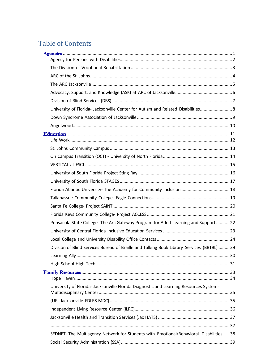# **Table of Contents**

| University of Florida- Jacksonville Center for Autism and Related Disabilities 8          |  |
|-------------------------------------------------------------------------------------------|--|
|                                                                                           |  |
|                                                                                           |  |
|                                                                                           |  |
|                                                                                           |  |
|                                                                                           |  |
|                                                                                           |  |
|                                                                                           |  |
|                                                                                           |  |
| Florida Atlantic University- The Academy for Community Inclusion  18                      |  |
|                                                                                           |  |
|                                                                                           |  |
|                                                                                           |  |
| Pensacola State College-The Arc Gateway Program for Adult Learning and Support22          |  |
|                                                                                           |  |
|                                                                                           |  |
| Division of Blind Services Bureau of Braille and Talking Book Library Services (BBTBL) 29 |  |
|                                                                                           |  |
|                                                                                           |  |
|                                                                                           |  |
|                                                                                           |  |
| University of Florida- Jacksonville Florida Diagnostic and Learning Resources System-     |  |
|                                                                                           |  |
|                                                                                           |  |
|                                                                                           |  |
|                                                                                           |  |
| SEDNET- The Multiagency Network for Students with Emotional/Behavioral Disabilities  38   |  |
|                                                                                           |  |
|                                                                                           |  |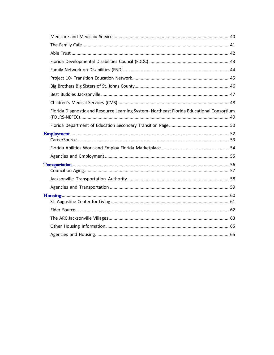| Florida Diagnostic and Resource Learning System- Northeast Florida Educational Consortium |  |
|-------------------------------------------------------------------------------------------|--|
|                                                                                           |  |
|                                                                                           |  |
|                                                                                           |  |
|                                                                                           |  |
|                                                                                           |  |
|                                                                                           |  |
|                                                                                           |  |
|                                                                                           |  |
|                                                                                           |  |
|                                                                                           |  |
|                                                                                           |  |
|                                                                                           |  |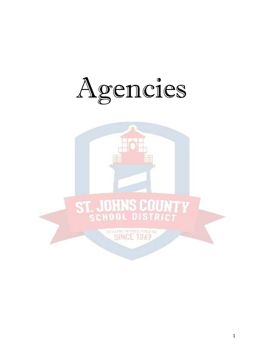<span id="page-4-0"></span>

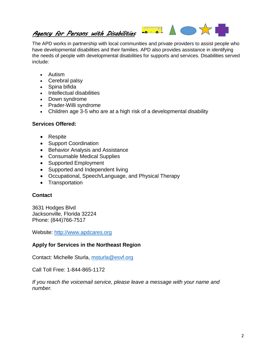#### <span id="page-5-0"></span>*Agency for Persons with Disabilities*

The APD works in partnership with local communities and private providers to assist people who have developmental disabilities and their families. APD also provides assistance in identifying the needs of people with developmental disabilities for supports and services. Disabilities served include:

**CONTRACT** 

 $0<sup>1</sup>$ 

 $\frac{1}{2}$ 

- Autism
- Cerebral palsy
- Spina bifida
- Intellectual disabilities
- Down syndrome
- Prader-Willi syndrome
- Children age 3-5 who are at a high risk of a developmental disability

#### **Services Offered:**

- Respite
- Support Coordination
- Behavior Analysis and Assistance
- Consumable Medical Supplies
- Supported Employment
- Supported and Independent living
- Occupational, Speech/Language, and Physical Therapy
- Transportation

#### **Contact**

3631 Hodges Blvd Jacksonville, Florida 32224 Phone: (844)766-7517

Website: [http://www.apdcares.org](http://www.apdcares.org/)

#### **Apply for Services in the Northeast Region**

Contact: Michelle Sturla, [msturla@esvf.org](mailto:msturla@esvf.org)

Call Toll Free: 1-844-865-1172

*If you reach the voicemail service, please leave a message with your name and number.*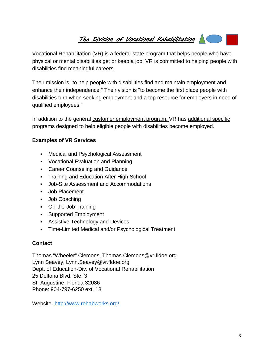# <span id="page-6-0"></span>*The Division of Vocational Rehabilitation*

Vocational Rehabilitation (VR) is a federal-state program that helps people who have physical or mental disabilities get or keep a job. VR is committed to helping people with disabilities find meaningful careers.

Their mission is "to help people with disabilities find and maintain employment and enhance their independence." Their vision is "to become the first place people with disabilities turn when seeking employment and a top resource for employers in need of qualified employees."

In addition to the general customer [employment](http://www.rehabworks.org/customers.shtml) program, VR has [additional specific](http://www.rehabworks.org/programs.shtml) [programs](http://www.rehabworks.org/programs.shtml) designed to help eligible people with disabilities become employed.

#### **Examples of VR Services**

- Medical and Psychological Assessment
- Vocational Evaluation and Planning
- Career Counseling and Guidance
- **Training and Education After High School**
- Job-Site Assessment and Accommodations
- Job Placement
- Job Coaching
- On-the-Job Training
- **Supported Employment**
- **Assistive Technology and Devices**
- Time-Limited Medical and/or Psychological Treatment

#### **Contact**

Thomas "Wheeler" [Clemons,](mailto:Jeanne.turner@vr.fldoe.org) [Thomas.Clemons@vr.fldoe.org](mailto:Thomas.Clemons@vr.fldoe.org) Lynn Seavey, [Lynn.Seavey@vr.fldoe.org](mailto:Lynn.Seavey@vr.fldoe.org) Dept. of Education-Div. of Vocational Rehabilitation 25 Deltona Blvd. Ste. 3 St. Augustine, Florida 32086 Phone: 904-797-6250 ext. 18

Website- <http://www.rehabworks.org/>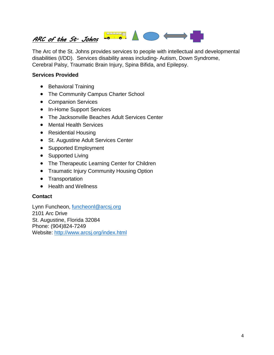# <span id="page-7-0"></span>ARC of the St. Johns **Community**

The Arc of the St. Johns provides services to people with intellectual and developmental disabilities (I/DD). Services disability areas including- Autism, Down Syndrome, Cerebral Palsy, Traumatic Brain Injury, Spina Bifida, and Epilepsy.

#### **Services Provided**

- [Behavioral](http://www.arcsj.org/behavioraltraining.html) Training
- The [Community](http://www.arcsj.org/communitycampus.html) Campus Charter School
- [Companion](http://www.arcsj.org/companionservies.html) Services
- [In-Home](http://www.arcsj.org/inhomesupport.html) Support Services
- The [Jacksonville](http://www.arcsj.org/beachesextension.html) Beaches Adult Services Center
- Mental Health [Services](http://www.arcsj.org/mentalhealth.html)
- [Residential](http://www.arcsj.org/residentialservices.html) Housing
- [St. Augustine Adult](http://www.arcsj.org/staugustineadultservices.html) Services Center
- [Supported Employment](http://www.arcsj.org/supportedemploymentservices.html)
- [Supported Living](http://www.arcsj.org/supportedlivingservices.html)
- The Therapeutic [Learning Center](http://www.arcsj.org/therapeuticlearningcenter.html) for Children
- Traumatic Injury Community [Housing Option](http://www.arcsj.org/ticho.html)
- [Transportation](http://www.arcsj.org/transportationservices.html)
- [Health and](http://www.arcsj.org/healthandwellness.html) Wellness

#### **Contact**

Lynn Funcheon, [funcheonl@arcsj.org](mailto:funcheonl@arcsj.org) 2101 Arc Drive St. Augustine, Florida 32084 Phone: (904)824-7249 Website: <http://www.arcsj.org/index.html>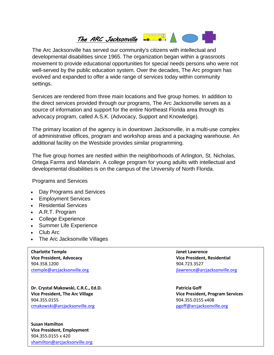# <span id="page-8-0"></span>*The ARC Jacksonville*

The Arc Jacksonville has served our community's citizens with intellectual and developmental disabilities since 1965. The organization began within a grassroots movement to provide educational opportunities for special needs persons who were not well-served by the public education system. Over the decades, The Arc program has evolved and expanded to offer a wide range of services today within community settings.

Services are rendered from three main locations and five group homes. In addition to the direct services provided through our programs, The Arc Jacksonville serves as a source of information and support for the entire Northeast Florida area through its advocacy program, called A.S.K. (Advocacy, Support and Knowledge).

The primary location of the agency is in downtown Jacksonville, in a multi-use complex of administrative offices, program and workshop areas and a packaging warehouse. An additional facility on the Westside provides similar programming.

The five group homes are nestled within the neighborhoods of Arlington, St. Nicholas, Ortega Farms and Mandarin. A college program for young adults with intellectual and developmental disabilities is on the campus of the University of North Florida.

Programs and Services

- Day [Programs](http://www.arcjacksonville.org/day-programs-and-services/) and Services
- [Employment](http://www.arcjacksonville.org/employment-services/) Services
- [Residential](http://www.arcjacksonville.org/residential-services/) Services
- A.R.T. [Program](http://www.arcjacksonville.org/a-r-t-program/)
- College [Experience](http://www.arcjacksonville.org/college-experience-oct/)
- Summer [Life Experience](http://www.arcjacksonville.org/summer-life-experience/)
- [Club](http://www.arcjacksonville.org/club-arc/) Arc
- The Arc Jacksonville Villages

**Charlotte Temple Janet Lawrence Vice President, Advocacy Vice President, Residential** 904.358.1200 904.723.3527

**Dr. Crystal Makowski, C.R.C., Ed.D. Patricia Goff Vice President, The Arc Village Vice President, Program Services** 904.355.0155 904.355.0155 x408 [cmakowski@arcjacksonville.org](mailto:cmakowski@arcjacksonville.org) [pgoff@arcjacksonville.org](mailto:pgoff@arcjacksonville.org)

**Susan Hamilton Vice President, Employment** 904.355.0155 x 420 [shamilton@arcjacksonville.org](mailto:shamilton@arcjacksonville.org)

[ctemple@arcjacksonville.org](mailto:ctemple@arcjacksonville.org) [jlawrence@arcjacksonville.org](mailto:jlawrence@arcjacksonville.org)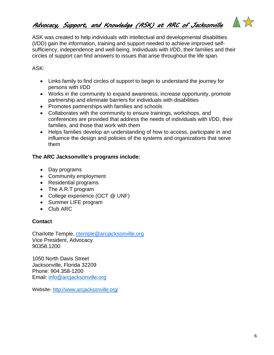<span id="page-9-0"></span>*Advocacy, Support, and Knowledge (ASK) at ARC of Jacksonville* 



ASK was created to help individuals with intellectual and developmental disabilities (I/DD) gain the information, training and support needed to achieve improved selfsufficiency, independence and well-being. Individuals with I/DD, their families and their circles of support can find answers to issues that arise throughout the life span.

#### ASK:

- Links family to find circles of support to begin to understand the journey for persons with I/DD
- Works in the community to expand awareness, increase opportunity, promote partnership and eliminate barriers for individuals with disabilities
- Promotes partnerships with families and schools
- Collaborates with the community to ensure trainings, workshops, and conferences are provided that address the needs of individuals with I/DD, their families, and those that work with them
- Helps families develop an understanding of how to access, participate in and influence the design and policies of the systems and organizations that serve them

#### **The ARC Jacksonville's programs include:**

- Day programs
- Community employment
- Residential programs
- The A.R.T program
- College experience (OCT @ UNF)
- Summer LIFE program
- Club ARC

#### **Contact**

Charlotte Temple, [ctemple@arcjacksonville.org](mailto:ctemple@arcjacksonville.org) Vice President, Advocacy 90358.1200

1050 North Davis Street Jacksonville, Florida 32209 Phone: 904.358-1200 Email: [info@arcjacksonville.org](mailto:info@arcjacksonville.org)

Website- <http://www.arcjacksonville.org/>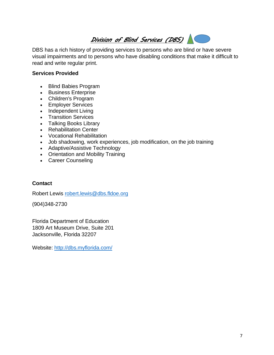<span id="page-10-0"></span>

DBS has a rich history of providing services to persons who are blind or have severe visual impairments and to persons who have disabling conditions that make it difficult to read and write regular print.

#### **Services Provided**

- Blind Babies [Program](http://dbs.myflorida.com/Blind%20Babies%20Program/index.html)
- Business [Enterprise](http://dbs.myflorida.com/Business%20Enterprise/index.html)
- [Children's](http://dbs.myflorida.com/Children%27s%20Program/index.html) Program
- [Employer Services](http://dbs.myflorida.com/Employer%20Services/index.html)
- [Independent](http://dbs.myflorida.com/Independent%20Living%20Program/index.html) Living
- [Transition](http://dbs.myflorida.com/Transition%20Services/index.html) Services
- [Talking](http://dbs.myflorida.com/Talking%20Books%20Library/index.html) Books Library
- [Rehabilitation](http://dbs.myflorida.com/Rehabilitation%20Center/index.html) Center
- Vocational [Rehabilitation](http://dbs.myflorida.com/Vocational%20Rehabilitation/index.html)
- Job shadowing, work experiences, job modification, on the job training
- Adaptive/Assistive Technology
- Orientation and Mobility Training
- Career Counseling

#### **Contact**

Robert Lewis [robert.lewis@dbs.fldoe.org](mailto:kumari.deonandan@dbs.fldoe.org)

(904)348-2730

Florida Department of Education 1809 Art Museum Drive, Suite 201 Jacksonville, Florida 32207

Website: <http://dbs.myflorida.com/>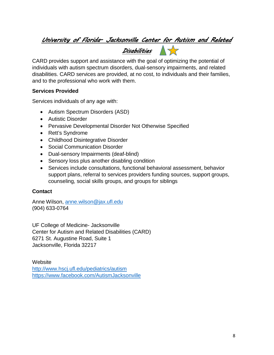# <span id="page-11-0"></span>*University of Florida- Jacksonville Center for Autism and Related Disabilities*

CARD provides support and assistance with the goal of optimizing the potential of individuals with autism spectrum disorders, dual-sensory impairments, and related disabilities. CARD services are provided, at no cost, to individuals and their families, and to the professional who work with them.

#### **Services Provided**

Services individuals of any age with:

- Autism Spectrum Disorders (ASD)
- Autistic Disorder
- Pervasive Developmental Disorder Not Otherwise Specified
- Rett's Syndrome
- Childhood Disintegrative Disorder
- Social Communication Disorder
- Dual-sensory Impairments (deaf-blind)
- Sensory loss plus another disabling condition
- Services include consultations, functional behavioral assessment, behavior support plans, referral to services providers funding sources, support groups, counseling, social skills groups, and groups for siblings

#### **Contact**

Anne Wilson, [anne.wilson@jax.ufl.edu](mailto:anne.wilson@jax.ufl.edu) (904) 633-0764

UF College of Medicine- Jacksonville Center for Autism and Related Disabilities (CARD) 6271 St. Augustine Road, Suite 1 Jacksonville, Florida 32217

**Website** <http://www.hscj.ufl.edu/pediatrics/autism> <https://www.facebook.com/AutismJacksonville>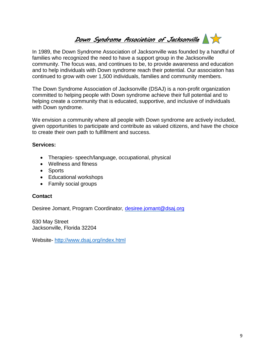# *Down Syndrome Association of Jacksonville*

<span id="page-12-0"></span>In 1989, the Down Syndrome Association of Jacksonville was founded by a handful of families who recognized the need to have a support group in the Jacksonville community. The focus was, and continues to be, to provide awareness and education and to help individuals with Down syndrome reach their potential. Our association has continued to grow with over 1,500 individuals, families and community members.

The Down Syndrome Association of Jacksonville (DSAJ) is a non-profit organization committed to helping people with Down syndrome achieve their full potential and to helping create a community that is educated, supportive, and inclusive of individuals with Down syndrome.

We envision a community where all people with Down syndrome are actively included, given opportunities to participate and contribute as valued citizens, and have the choice to create their own path to fulfillment and success.

#### **Services:**

- Therapies- speech/language, occupational, physical
- Wellness and fitness
- Sports
- Educational workshops
- Family social groups

#### **Contact**

Desiree Jomant, Program Coordinator*,* [desiree.jomant@dsaj.org](mailto:desiree.jomant@dsaj.org)

630 May Street Jacksonville, Florida 32204

Website- <http://www.dsaj.org/index.html>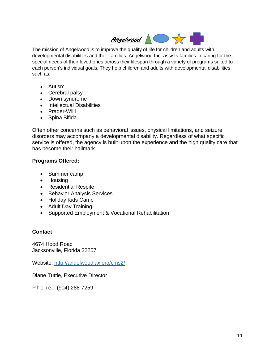

<span id="page-13-0"></span>The mission of Angelwood is to improve the quality of life for children and adults with developmental disabilities and their families. Angelwood Inc. assists families in caring for the special needs of their loved ones across their lifespan through a variety of programs suited to each person's individual goals. They help children and adults with developmental disabilities such as:

- Autism
- Cerebral palsy
- Down syndrome
- Intellectual Disabilities
- Prader-Willi
- Spina Bifida

Often other concerns such as behavioral issues, physical limitations, and seizure disorders may accompany a developmental disability. Regardless of what specific service is offered, the agency is built upon the experience and the high quality care that has become their hallmark.

#### **Programs Offered:**

- Summer camp
- Housing
- Residential Respite
- Behavior Analysis Services
- Holiday Kids Camp
- Adult Day Training
- Supported Employment & Vocational Rehabilitation

#### **Contact**

4674 Hood Road Jacksonville, Florida 32257

Website: <http://angelwoodjax.org/cms2/>

Diane Tuttle, Executive Director

Phone: (904) 288-7259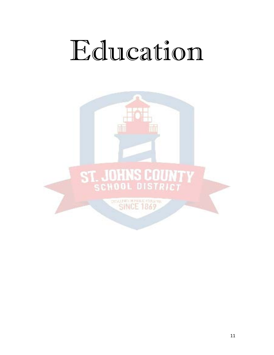# <span id="page-14-0"></span>Education

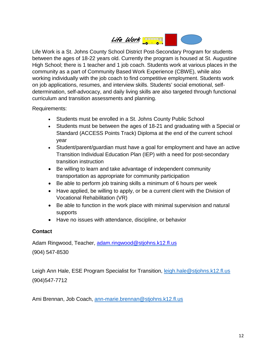<span id="page-15-0"></span>

Life Work is a St. Johns County School District Post-Secondary Program for students between the ages of 18-22 years old. Currently the program is housed at St. Augustine High School; there is 1 teacher and 1 job coach. Students work at various places in the community as a part of Community Based Work Experience (CBWE), while also working individually with the job coach to find competitive employment. Students work on job applications, resumes, and interview skills. Students' social emotional, selfdetermination, self-advocacy, and daily living skills are also targeted through functional curriculum and transition assessments and planning.

Requirements:

- Students must be enrolled in a St. Johns County Public School
- Students must be between the ages of 18-21 and graduating with a Special or Standard (ACCESS Points Track) Diploma at the end of the current school year
- Student/parent/guardian must have a goal for employment and have an active Transition Individual Education Plan (IEP) with a need for post-secondary transition instruction
- Be willing to learn and take advantage of independent community transportation as appropriate for community participation
- Be able to perform job training skills a minimum of 6 hours per week
- Have applied, be willing to apply, or be a current client with the Division of Vocational Rehabilitation (VR)
- Be able to function in the work place with minimal supervision and natural supports
- Have no issues with attendance, discipline, or behavior

#### **Contact**

Adam Ringwood, Teacher, [adam.ringwood@stjohns.k12.fl.us](mailto:adam.ringwood@stjohns.k12.fl.us) (904) 547-8530

Leigh Ann Hale, ESE Program Specialist for Transition, [leigh.hale@stjohns.k12.fl.us](mailto:leigh.hale@stjohns.k12.fl.us) (904)547-7712

Ami Brennan, Job Coach, [ann-marie.brennan@stjohns.k12.fl.us](mailto:ann-marie.brennan@stjohns.k12.fl.us)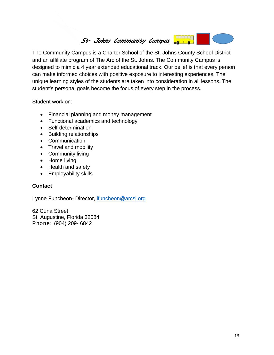<span id="page-16-0"></span>

The Community Campus is a Charter School of the St. Johns County School District and an affiliate program of The Arc of the St. Johns. The Community Campus is designed to mimic a 4 year extended educational track. Our belief is that every person can make informed choices with positive exposure to interesting experiences. The unique learning styles of the students are taken into consideration in all lessons. The student's personal goals become the focus of every step in the process.

Student work on:

- Financial planning and money management
- Functional academics and technology
- Self-determination
- Building relationships
- Communication
- Travel and mobility
- Community living
- Home living
- Health and safety
- Employability skills

#### **Contact**

Lynne Funcheon- Director, **Ifuncheon@arcsj.org** 

62 Cuna Street St. Augustine, Florida 32084 Phone: (904) 209- 6842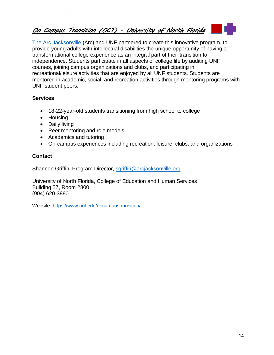## <span id="page-17-0"></span>*On Campus Transition (OCT) - University of North Florida*

The Arc [Jacksonville](http://www.arcjacksonville.org/) (Arc) and UNF partnered to create this innovative program, to provide young adults with intellectual disabilities the unique opportunity of having a transformational college experience as an integral part of their transition to independence. Students participate in all aspects of college life by auditing UNF courses, joining campus organizations and clubs, and participating in recreational/leisure activities that are enjoyed by all UNF students. Students are mentored in academic, social, and recreation activities through mentoring programs with UNF student peers.

#### **Services**

- 18-22-year-old students transitioning from high school to college
- Housing
- Daily living
- Peer mentoring and role models
- Academics and tutoring
- On-campus experiences including recreation, leisure, clubs, and organizations

#### **Contact**

Shannon Griffin, Program Director, [sgriffin@arcjacksonville.org](mailto:sgriffin@arcjacksonville.org)

University of North Florida, College of Education and Human Services Building 57, Room 2800 (904) 620-3890

Website- <https://www.unf.edu/oncampustransition/>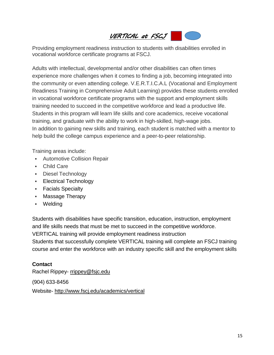# <span id="page-18-0"></span>*VERTICAL at FSCJ*

Providing employment readiness instruction to students with disabilities enrolled in vocational workforce certificate programs at FSCJ.

Adults with intellectual, developmental and/or other disabilities can often times experience more challenges when it comes to finding a job, becoming integrated into the community or even attending college. V.E.R.T.I.C.A.L (Vocational and Employment Readiness Training in Comprehensive Adult Learning) provides these students enrolled in vocational workforce certificate programs with the support and employment skills training needed to succeed in the competitive workforce and lead a productive life. Students in this program will learn life skills and core academics, receive vocational training, and graduate with the ability to work in high-skilled, high-wage jobs. In addition to gaining new skills and training, each student is matched with a mentor to help build the college campus experience and a peer-to-peer relationship.

Training areas include:

- Automotive Collision Repair
- Child Care
- **-** Diesel Technology
- **Electrical Technology**
- **Facials Specialty**
- Massage Therapy
- Welding

Students with disabilities have specific transition, education, instruction, employment and life skills needs that must be met to succeed in the competitive workforce.

VERTICAL training will provide employment readiness instruction

Students that successfully complete VERTICAL training will complete an FSCJ training course and enter the workforce with an industry specific skill and the employment skills

#### **Contact**

Rachel [Rippey-](mailto:rrippey@fscj.edu) [rrippey@fsjc.edu](mailto:rrippey@fsjc.edu)

(904) 633-8456

Website- <http://www.fscj.edu/academics/vertical>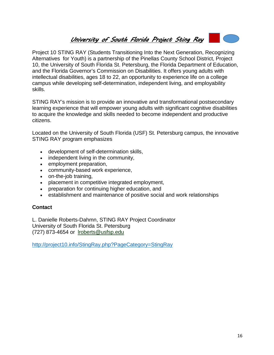# <span id="page-19-0"></span>*University of South Florida Project Sting Ray*

Project 10 STING RAY (Students Transitioning Into the Next Generation, Recognizing Alternatives for Youth) is a partnership of the Pinellas County School District, Project 10, the University of South Florida St. Petersburg, the Florida Department of Education, and the Florida Governor's Commission on Disabilities. It offers young adults with intellectual disabilities, ages 18 to 22, an opportunity to experience life on a college campus while developing self-determination, independent living, and employability skills.

STING RAY's mission is to provide an innovative and transformational postsecondary learning experience that will empower young adults with significant cognitive disabilities to acquire the knowledge and skills needed to become independent and productive citizens.

Located on the University of South Florida (USF) St. Petersburg campus, the innovative STING RAY program emphasizes

- development of self-determination skills,
- independent living in the community,
- employment preparation,
- community-based work experience,
- on-the-job training,
- placement in competitive integrated employment,
- preparation for continuing higher education, and
- establishment and maintenance of positive social and work relationships

#### **Contact**

L. Danielle Roberts-Dahmn, STING RAY Project Coordinator University of South Florida St. Petersburg (727) 873-4654 or [lroberts@usfsp.edu](mailto:lroberts@usfsp.edu)

<http://project10.info/StingRay.php?PageCategory=StingRay>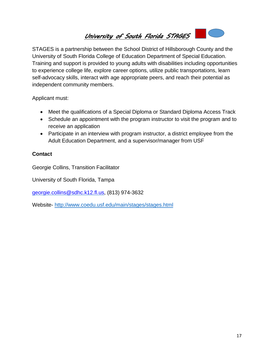<span id="page-20-0"></span>*University of South Florida STAGES* 



STAGES is a partnership between the School District of Hillsborough County and the University of South Florida College of Education Department of Special Education. Training and support is provided to young adults with disabilities including opportunities to experience college life, explore career options, utilize public transportations, learn self-advocacy skills, interact with age appropriate peers, and reach their potential as independent community members.

Applicant must:

- Meet the qualifications of a Special Diploma or Standard Diploma Access Track
- Schedule an appointment with the program instructor to visit the program and to receive an application
- Participate in an interview with program instructor, a district employee from the Adult Education Department, and a supervisor/manager from USF

#### **Contact**

Georgie Collins, Transition Facilitator

University of South Florida, Tampa

[georgie.collins@sdhc.k12.fl.us,](mailto:georgie.collins@sdhc.k12.fl.us) (813) 974-3632

Website- <http://www.coedu.usf.edu/main/stages/stages.html>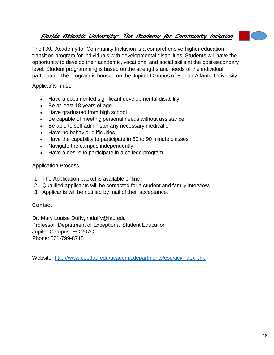### <span id="page-21-0"></span>*Florida Atlantic University- The Academy for Community Inclusion*

The FAU Academy for Community Inclusion is a comprehensive higher education transition program for individuals with developmental disabilities. Students will have the opportunity to develop their academic, vocational and social skills at the post-secondary level. Student programming is based on the strengths and needs of the individual participant. The program is housed on the Jupiter Campus of Florida Atlantic University.

Applicants must:

- Have a documented significant developmental disability
- Be at least 18 years of age
- Have graduated from high school
- Be capable of meeting personal needs without assistance
- Be able to self-administer any necessary medication
- Have no behavior difficulties
- Have the capability to participate in 50 to 90 minute classes
- Navigate the campus independently
- Have a desire to participate in a college program

#### Application Process

- 1. The Application packet is available online
- 2. Qualified applicants will be contacted for a student and family interview.
- 3. Applicants will be notified by mail of their acceptance.

#### **Contact**

Dr. Mary Louise Duffy**,** [mduffy@fau.edu](mailto:mduffy@fau.edu) Professor, Department of Exceptional Student Education Jupiter Campus: EC 207C Phone: 561-799-8715

Website- <http://www.coe.fau.edu/academicdepartments/ese/aci/index.php>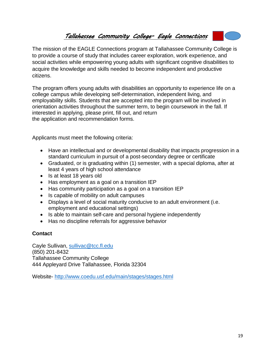#### <span id="page-22-0"></span>*Tallahassee Community College- Eagle Connections*



The program offers young adults with disabilities an opportunity to experience life on a college campus while developing self-determination, independent living, and employability skills. Students that are accepted into the program will be involved in orientation activities throughout the summer term, to begin coursework in the fall. If interested in applying, please print, fill out, and return the [application](https://www.tcc.fl.edu/Current/DSS/Documents/EAGLE%20Connections%20Application%20Packet%202015_2016.pdf) and [recommendation forms.](https://www.tcc.fl.edu/Current/DSS/Documents/EAGLE%20Connections%20Recommendation%20Form.pdf)

Applicants must meet the following criteria:

- Have an intellectual and or developmental disability that impacts progression in a standard curriculum in pursuit of a post-secondary degree or certificate
- Graduated, or is graduating within (1) semester, with a special diploma, after at least 4 years of high school attendance
- Is at least 18 years old
- Has employment as a goal on a transition IEP
- Has community participation as a goal on a transition IEP
- Is capable of mobility on adult campuses
- Displays a level of social maturity conducive to an adult environment (i.e. employment and educational settings)
- Is able to maintain self-care and personal hygiene independently
- Has no discipline referrals for aggressive behavior

#### **Contact**

Cayle Sullivan, [sullivac@tcc.fl.edu](mailto:sullivac@tcc.fl.edu) (850) 201-8432 Tallahassee Community College 444 Appleyard Drive Tallahassee, Florida 32304

Website- <http://www.coedu.usf.edu/main/stages/stages.html>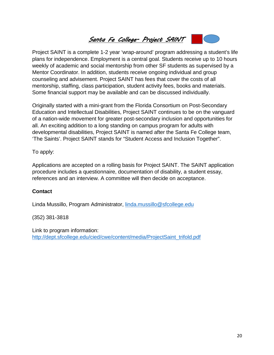# *Santa Fe College- Project SAINT*

<span id="page-23-0"></span>Project SAINT is a complete 1-2 year 'wrap-around' program addressing a student's life plans for independence. Employment is a central goal. Students receive up to 10 hours weekly of academic and social mentorship from other SF students as supervised by a Mentor Coordinator. In addition, students receive ongoing individual and group counseling and advisement. Project SAINT has fees that cover the costs of all mentorship, staffing, class participation, student activity fees, books and materials. Some financial support may be available and can be discussed individually.

Originally started with a mini-grant from the Florida Consortium on Post-Secondary Education and Intellectual Disabilities, Project SAINT continues to be on the vanguard of a nation-wide movement for greater post-secondary inclusion and opportunities for all. An exciting addition to a long standing on campus program for adults with developmental disabilities, Project SAINT is named after the Santa Fe College team, 'The Saints'. Project SAINT stands for "Student Access and Inclusion Together".

To apply:

Applications are accepted on a rolling basis for Project SAINT. The SAINT application procedure includes a questionnaire, documentation of disability, a student essay, references and an interview. A committee will then decide on acceptance.

#### **Contact**

Linda Mussillo, Program Administrator, [linda.mussillo@sfcollege.edu](mailto:linda.mussillo@sfcollege.edu)

(352) 381-3818

Link to program information: [http://dept.sfcollege.edu/cied/cwe/content/media/ProjectSaint\\_trifold.pdf](http://dept.sfcollege.edu/cied/cwe/content/media/ProjectSaint_trifold.pdf)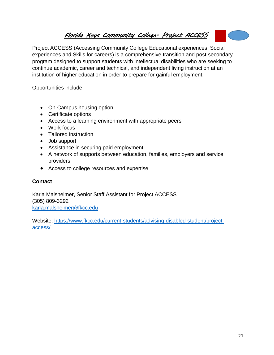# <span id="page-24-0"></span>*Florida Keys Community College- Project ACCESS*

Project ACCESS (Accessing Community College Educational experiences, Social experiences and Skills for careers) is a comprehensive transition and post-secondary program designed to support students with intellectual disabilities who are seeking to continue academic, career and technical, and independent living instruction at an institution of higher education in order to prepare for gainful employment.

Opportunities include:

- On-Campus housing option
- Certificate options
- Access to a learning environment with appropriate peers
- Work focus
- Tailored instruction
- Job support
- Assistance in securing paid employment
- A network of supports between education, families, employers and service providers
- Access to college resources and expertise

#### **Contact**

Karla Malsheimer, Senior Staff Assistant for Project ACCESS (305) 809-3292 [karla.malsheimer@fkcc.edu](mailto:karla.malsheimer@fkcc.edu)

Website: [https://www.fkcc.edu/current-students/advising-disabled-student/project](https://www.fkcc.edu/current-students/advising-disabled-student/project-access/)[access/](https://www.fkcc.edu/current-students/advising-disabled-student/project-access/)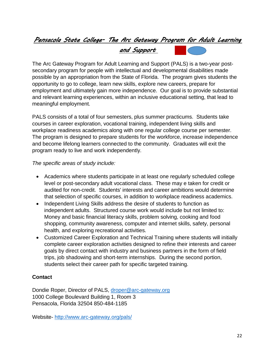## <span id="page-25-0"></span>*Pensacola State College- The Arc Gateway Program for Adult Learning*

*and Support* 

The Arc Gateway Program for Adult Learning and Support (PALS) is a two-year postsecondary program for people with intellectual and developmental disabilities made possible by an appropriation from the State of Florida. The program gives students the opportunity to go to college, learn new skills, explore new careers, prepare for employment and ultimately gain more independence. Our goal is to provide substantial and relevant learning experiences, within an inclusive educational setting, that lead to meaningful employment.

PALS consists of a total of four semesters, plus summer practicums. Students take courses in career exploration, vocational training, independent living skills and workplace readiness academics along with one regular college course per semester. The program is designed to prepare students for the workforce, increase independence and become lifelong learners connected to the community. Graduates will exit the program ready to live and work independently.

*The specific areas of study include:*

- Academics where students participate in at least one regularly scheduled college level or post-secondary adult vocational class. These may e taken for credit or audited for non-credit. Students' interests and career ambitions would determine that selection of specific courses, in addition to workplace readiness academics.
- Independent Living Skills address the desire of students to function as independent adults. Structured course work would include but not limited to: Money and basic financial literacy skills, problem solving, cooking and food shopping, community awareness, computer and internet skills, safety, personal health, and exploring recreational activities.
- Customized Career Exploration and Technical Training where students will initially complete career exploration activities designed to refine their interests and career goals by direct contact with industry and business partners in the form of field trips, job shadowing and short-term internships. During the second portion, students select their career path for specific targeted training.

#### **Contact**

Dondie Roper, Director of PALS, [droper@arc-gateway.org](mailto:droper@arc-gateway.org) 1000 College Boulevard Building 1, Room 3 Pensacola, Florida 32504 850-484-1185

Website- <http://www.arc-gateway.org/pals/>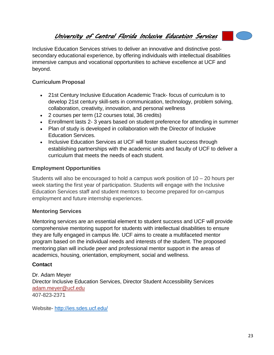#### <span id="page-26-0"></span>*University of Central Florida Inclusive Education Services*

Inclusive Education Services strives to deliver an innovative and distinctive postsecondary educational experience, by offering individuals with intellectual disabilities immersive campus and vocational opportunities to achieve excellence at UCF and beyond.

#### **Curriculum Proposal**

- 21st Century Inclusive Education Academic Track- focus of curriculum is to develop 21st century skill-sets in communication, technology, problem solving, collaboration, creativity, innovation, and personal wellness
- 2 courses per term (12 courses total, 36 credits)
- Enrollment lasts 2- 3 years based on student preference for attending in summer
- Plan of study is developed in collaboration with the Director of Inclusive Education Services.
- Inclusive Education Services at UCF will foster student success through establishing partnerships with the academic units and faculty of UCF to deliver a curriculum that meets the needs of each student.

#### **Employment Opportunities**

Students will also be encouraged to hold a campus work position of  $10 - 20$  hours per week starting the first year of participation. Students will engage with the Inclusive Education Services staff and student mentors to become prepared for on-campus employment and future internship experiences.

#### **Mentoring Services**

Mentoring services are an essential element to student success and UCF will provide comprehensive mentoring support for students with intellectual disabilities to ensure they are fully engaged in campus life. UCF aims to create a multifaceted mentor program based on the individual needs and interests of the student. The proposed mentoring plan will include peer and professional mentor support in the areas of academics, housing, orientation, employment, social and wellness.

#### **Contact**

Dr. Adam Meyer Director Inclusive Education Services, Director Student Accessibility Services [adam.meyer@ucf.edu](mailto:adam.meyer@ucf.edu) 407-823-2371

Website- <http://ies.sdes.ucf.edu/>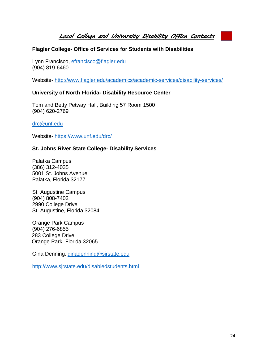<span id="page-27-0"></span>*Local College and University Disability Office Contacts* 

#### **Flagler College- Office of Services for Students with Disabilities**

Lynn Francisco, [efrancisco@flagler.edu](mailto:efrancisco@flagler.edu) (904) 819-6460

Website- <http://www.flagler.edu/academics/academic-services/disability-services/>

#### **University of North Florida- Disability Resource Center**

Tom and Betty Petway Hall, Building 57 Room 1500 (904) 620-2769

[drc@unf.edu](mailto:drc@unf.edu)

Website- <https://www.unf.edu/drc/>

#### **St. Johns River State College- Disability Services**

Palatka Campus (386) 312-4035 5001 St. Johns Avenue Palatka, Florida 32177

St. Augustine Campus (904) 808-7402 2990 College Drive St. Augustine, Florida 32084

Orange Park Campus (904) 276-6855 283 College Drive Orange Park, Florida 32065

Gina Denning, [ginadenning@sjrstate.edu](mailto:ginadenning@sjrstate.edu)

<http://www.sjrstate.edu/disabledstudents.html>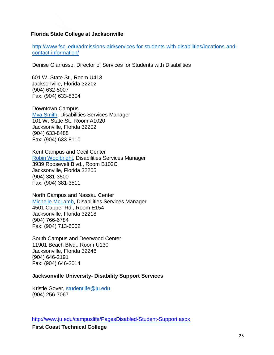#### **Florida State College at Jacksonville**

[http://www.fscj.edu/admissions-aid/services-for-students-with-disabilities/locations-and](http://www.fscj.edu/admissions-aid/services-for-students-with-disabilities/locations-and-contact-information/)[contact-information/](http://www.fscj.edu/admissions-aid/services-for-students-with-disabilities/locations-and-contact-information/)

Denise Giarrusso, Director of Services for Students with Disabilities

601 W. State St., Room U413 Jacksonville, Florida 32202 (904) 632-5007 Fax: (904) 633-8304

Downtown Campus Mya [Smith,](mailto:mysmith@fscj.edu) Disabilities Services Manager 101 W. State St., Room A1020 Jacksonville, Florida 32202 (904) 633-8488 Fax: (904) 633-8110

Kent Campus and Cecil Center Robin [Woolbright,](mailto:rwoolbri@fscj.edu) Disabilities Services Manager 3939 Roosevelt Blvd., Room B102C Jacksonville, Florida 32205 (904) 381-3500 Fax: (904) 381-3511

North Campus and Nassau Center Michelle [McLamb,](mailto:mmclamb@fscj.edu) Disabilities Services Manager 4501 Capper Rd., Room E154 Jacksonville, Florida 32218 (904) 766-6784 Fax: (904) 713-6002

South Campus and Deerwood Center 11901 Beach Blvd., Room U130 Jacksonville, Florida 32246 (904) 646-2191 Fax: (904) 646-2014

#### **Jacksonville University- Disability Support Services**

Kristie Gover, [studentlife@ju.edu](mailto:studentlife@ju.edu) (904) 256-7067

<http://www.ju.edu/campuslife/PagesDisabled-Student-Support.aspx>

**First Coast Technical College**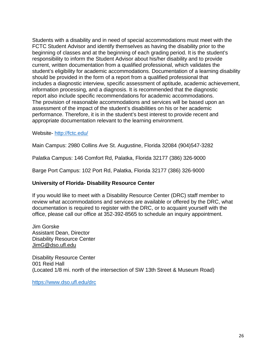Students with a disability and in need of special accommodations must meet with the FCTC Student Advisor and identify themselves as having the disability prior to the beginning of classes and at the beginning of each grading period. It is the student's responsibility to inform the Student Advisor about his/her disability and to provide current, written documentation from a qualified professional, which validates the student's eligibility for academic accommodations. Documentation of a learning disability should be provided in the form of a report from a qualified professional that includes a diagnostic interview, specific assessment of aptitude, academic achievement, information processing, and a diagnosis. It is recommended that the diagnostic report also include specific recommendations for academic accommodations. The provision of reasonable accommodations and services will be based upon an assessment of the impact of the student's disabilities on his or her academic performance. Therefore, it is in the student's best interest to provide recent and appropriate documentation relevant to the learning environment.

Website- <http://fctc.edu/>

Main Campus: 2980 Collins Ave St. Augustine, Florida 32084 (904)547-3282

Palatka Campus: 146 Comfort Rd, Palatka, Florida 32177 (386) 326-9000

Barge Port Campus: 102 Port Rd, Palatka, Florida 32177 (386) 326-9000

#### **University of Florida- Disability Resource Center**

If you would like to meet with a Disability Resource Center (DRC) staff member to review what accommodations and services are available or offered by the DRC, what documentation is required to register with the DRC, or to acquaint yourself with the office, please call our office at 352-392-8565 to schedule an inquiry appointment.

Jim Gorske Assistant Dean, Director Disability Resource Center [JimG@dso.ufl.edu](mailto:jimg@dso.ufl.edu)

Disability Resource Center 001 Reid Hall (Located 1/8 mi. north of the intersection of SW 13th Street & Museum Road)

<https://www.dso.ufl.edu/drc>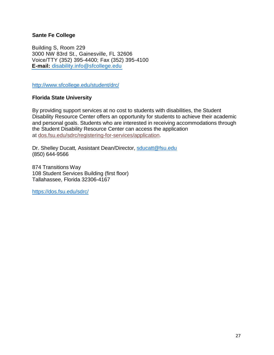#### **Sante Fe College**

Building S, Room 229 3000 NW 83rd St., Gainesville, FL 32606 Voice/TTY (352) 395-4400; Fax (352) 395-4100 **E-mail:** [disability.info@sfcollege.edu](mailto:disability.info@sfcollege.edu)

<http://www.sfcollege.edu/student/drc/>

#### **Florida State University**

By providing support services at no cost to students with disabilities, the Student Disability Resource Center offers an opportunity for students to achieve their academic and personal goals. Students who are interested in receiving accommodations through the Student Disability Resource Center can access the application at [dos.fsu.edu/sdrc/registering-for-services/application.](https://dos.fsu.edu/sdrc/registering-for-services/application)

Dr. Shelley Ducatt*,* Assistant Dean/Director, [sducatt@fsu.edu](mailto:sducatt@fsu.edu) (850) 644-9566

874 Transitions Way 108 Student Services Building (first floor) Tallahassee, Florida 32306-4167

<https://dos.fsu.edu/sdrc/>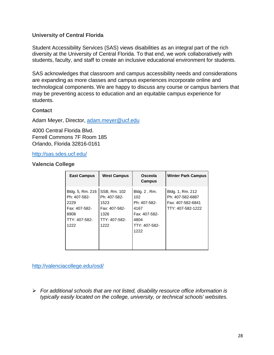#### **University of Central Florida**

Student Accessibility Services (SAS) views disabilities as an integral part of the rich diversity at the University of Central Florida. To that end, we work collaboratively with students, faculty, and staff to create an inclusive educational environment for students.

SAS acknowledges that classroom and campus accessibility needs and considerations are expanding as more classes and campus experiences incorporate online and technological components. We are happy to discuss any course or campus barriers that may be preventing access to education and an equitable campus experience for students.

#### **Contact**

Adam Meyer, Director, [adam.meyer@ucf.edu](mailto:adam.meyer@ucf.edu)

4000 Central Florida Blvd. Ferrell Commons 7F Room 185 Orlando, Florida 32816-0161

<http://sas.sdes.ucf.edu/>

#### **Valencia College**

| <b>East Campus</b>                                                                         | <b>West Campus</b>                                                                     | Osceola<br>Campus                                                                             | <b>Winter Park Campus</b>                                                      |
|--------------------------------------------------------------------------------------------|----------------------------------------------------------------------------------------|-----------------------------------------------------------------------------------------------|--------------------------------------------------------------------------------|
| Bldg. 5, Rm. 216<br>Ph: 407-582-<br>2229<br>Fax: 407-582-<br>8908<br>TTY: 407-582-<br>1222 | SSB, Rm. 102<br>Ph: 407-582-<br>1523<br>Fax: 407-582-<br>1326<br>TTY: 407-582-<br>1222 | Bldg. 2, Rm.<br>102<br>Ph: 407-582-<br>4167<br>Fax: 407-582-<br>4804<br>TTY: 407-582-<br>1222 | Bldg. 1, Rm. 212<br>Ph: 407-582-6887<br>Fax: 407-582-6841<br>TTY: 407-582-1222 |

<http://valenciacollege.edu/osd/>

 *For additional schools that are not listed, disability resource office information is typically easily located on the college, university, or technical schools' websites.*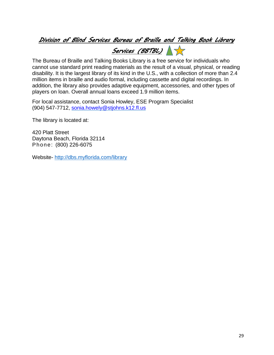### <span id="page-32-0"></span>*Division of Blind Services Bureau of Braille and Talking Book Library*

*Services (BBTBL)*

The Bureau of Braille and Talking Books Library is a free service for individuals who cannot use standard print reading materials as the result of a visual, physical, or reading disability. It is the largest library of its kind in the U.S., with a collection of more than 2.4 million items in braille and audio formal, including cassette and digital recordings. In addition, the library also provides adaptive equipment, accessories, and other types of players on loan. Overall annual loans exceed 1.9 million items.

For local assistance, contact Sonia Howley, ESE Program Specialist (904) 547-7712, [sonia.howely@stjohns.k12.fl.us](mailto:sonia.howely@stjohns.k12.fl.us)

The library is located at:

420 Platt Street Daytona Beach, Florida 32114 Phone: (800) 226-6075

Website- <http://dbs.myflorida.com/library>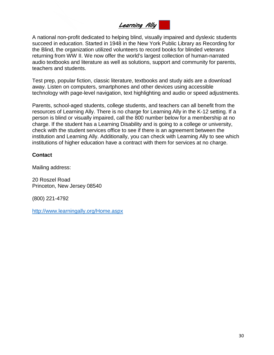# <span id="page-33-0"></span>*Learning Ally*

A national non-profit dedicated to helping blind, visually impaired and dyslexic students succeed in education. Started in 1948 in the New York Public Library as Recording for the Blind, the organization utilized volunteers to record books for blinded veterans returning from WW II. We now offer the world's largest collection of human-narrated audio textbooks and literature as well as solutions, support and community for parents, teachers and students.

Test prep, popular fiction, classic literature, textbooks and study aids are a download away. Listen on computers, smartphones and other devices using accessible technology with page-level navigation, text highlighting and audio or speed adjustments.

Parents, school-aged students, college students, and teachers can all benefit from the resources of Learning Ally. There is no charge for Learning Ally in the K-12 setting. If a person is blind or visually impaired, call the 800 number below for a membership at no charge. If the student has a Learning Disability and is going to a college or university, check with the student services office to see if there is an agreement between the institution and Learning Ally. Additionally, you can check with Learning Ally to see which institutions of higher education have a contract with them for services at no charge.

#### **Contact**

Mailing address:

20 Roszel Road Princeton, New Jersey 08540

(800) 221-4792

<http://www.learningally.org/Home.aspx>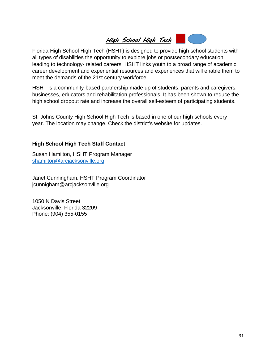

<span id="page-34-0"></span>Florida High School High Tech (HSHT) is designed to provide high school students with all types of disabilities the opportunity to explore jobs or postsecondary education leading to technology- related careers. HSHT links youth to a broad range of academic, career development and experiential resources and experiences that will enable them to meet the demands of the 21st century workforce.

HSHT is a community-based partnership made up of students, parents and caregivers, businesses, educators and rehabilitation professionals. It has been shown to reduce the high school dropout rate and increase the overall self-esteem of participating students.

St. Johns County High School High Tech is based in one of our high schools every year. The location may change. Check the district's website for updates.

#### **High School High Tech Staff Contact**

Susan Hamilton, HSHT Program Manager [shamilton@arcjacksonville.org](mailto:shamilton@arcjacksonville.org)

Janet Cunningham, HSHT Program Coordinator [jcunnigham@arcjacksonville.org](mailto:jcunnigham@arcjacksonville.org)

1050 N Davis Street Jacksonville, Florida 32209 Phone: (904) 355-0155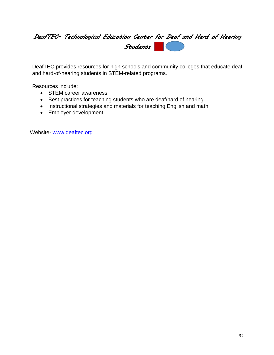# *DeafTEC- Technological Education Center for Deaf and Hard of Hearing Students*

DeafTEC provides resources for high schools and community colleges that educate deaf and hard-of-hearing students in STEM-related programs.

Resources include:

- STEM career awareness
- Best practices for teaching students who are deaf/hard of hearing
- Instructional strategies and materials for teaching English and math
- Employer development

Website- [www.deaftec.org](http://www.deaftec.org/)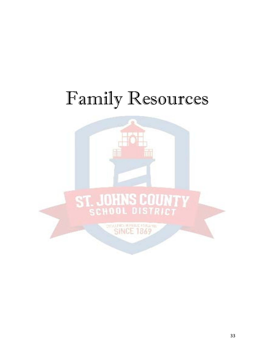# <span id="page-36-0"></span>Family Resources

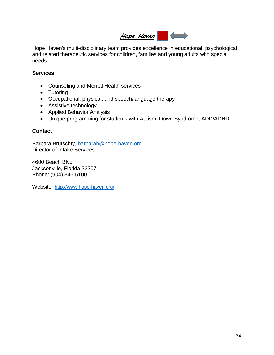# <span id="page-37-0"></span>*Hope Haven*

Hope Haven's multi-disciplinary team provides excellence in educational, psychological and related therapeutic services for children, families and young adults with special needs.

#### **Services**

- Counseling and Mental Health services
- Tutoring
- Occupational, physical, and speech/language therapy
- Assistive technology
- Applied Behavior Analysis
- Unique programming for students with Autism, Down Syndrome, ADD/ADHD

#### **Contact**

Barbara Brutschty, [barbarab@hope-haven.org](mailto:barbarab@hope-haven.org)  Director of Intake Services

4600 Beach Blvd Jacksonville, Florida 32207 Phone: (904) 346-5100

Website- <http://www.hope-haven.org/>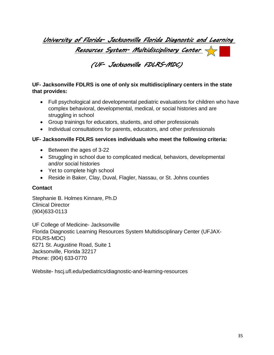# <span id="page-38-0"></span>*University of Florida- Jacksonville Florida Diagnostic and Learning Resources System- Multidisciplinary Center*

## *(UF- Jacksonville FDLRS-MDC)*

#### <span id="page-38-1"></span>**UF- Jacksonville FDLRS is one of only six multidisciplinary centers in the state that provides:**

- Full psychological and developmental pediatric evaluations for children who have complex behavioral, developmental, medical, or social histories and are struggling in school
- Group trainings for educators, students, and other professionals
- Individual consultations for parents, educators, and other professionals

#### **UF- Jacksonville FDLRS services individuals who meet the following criteria:**

- Between the ages of 3-22
- Struggling in school due to complicated medical, behaviors, developmental and/or social histories
- Yet to complete high school
- Reside in Baker, Clay, Duval, Flagler, Nassau, or St. Johns counties

#### **Contact**

Stephanie B. Holmes Kinnare, Ph.D Clinical Director (904)633-0113

UF College of Medicine- Jacksonville Florida Diagnostic Learning Resources System Multidisciplinary Center (UFJAX-FDLRS-MDC) 6271 St. Augustine Road, Suite 1 Jacksonville, Florida 32217 Phone: (904) 633-0770

Website- hscj.ufl.edu/pediatrics/diagnostic-and-learning-resources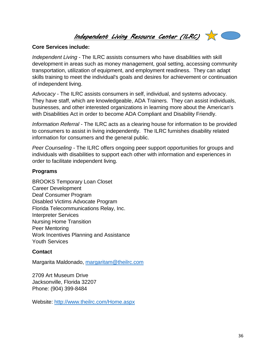<span id="page-39-0"></span>*Independent Living Resource Center (ILRC)*



#### **Core Services include:**

*Independent Living* - The ILRC assists consumers who have disabilities with skill development in areas such as money management, goal setting, accessing community transportation, utilization of equipment, and employment readiness. They can adapt skills training to meet the individual's goals and desires for achievement or continuation of independent living.

*Advocacy* - The ILRC assists consumers in self, individual, and systems advocacy. They have staff, which are knowledgeable, ADA Trainers. They can assist individuals, businesses, and other interested organizations in learning more about the American's with Disabilities Act in order to become ADA Compliant and Disability Friendly.

*Information Referral* - The ILRC acts as a clearing house for information to be provided to consumers to assist in living independently. The ILRC furnishes disability related information for consumers and the general public.

*Peer Counseling* - The ILRC offers ongoing peer support opportunities for groups and individuals with disabilities to support each other with information and experiences in order to facilitate independent living.

#### **Programs**

BROOKS [Temporary](http://www.theilrc.com/Programs/BrooksTemporaryLoanCloset.aspx) Loan Closet [Career Development](http://www.theilrc.com/Programs/CareerDevelopment.aspx) Deaf [Consumer Program](http://www.theilrc.com/Programs/DeafConsumerProgram.aspx) Disabled Victims [Advocate](http://www.theilrc.com/Programs/DisabledVictimsAdvocate.aspx) Program Florida [Telecommunications](http://www.theilrc.com/Programs/FloridaTelecommunicationsRelay%2CINC.aspx) Relay, Inc. [Interpreter Services](http://www.theilrc.com/ContactUs/InterpretingServices.aspx) [Nursing Home](http://www.theilrc.com/Programs/NursingHomeTransition.aspx) Transition Peer [Mentoring](http://www.theilrc.com/Programs/PeerMentoring.aspx) [Work Incentives](http://www.theilrc.com/Programs/WorkIncentivesPlanningAssistance.aspx) Planning and Assistance Youth [Services](http://www.theilrc.com/Programs/YouthServices.aspx)

#### **Contact**

Margarita Maldonado, [margaritam@theilrc.com](mailto:margaritam@theilrc.com)

2709 Art Museum Drive Jacksonville, Florida 32207 Phone: (904) 399-8484

Website: <http://www.theilrc.com/Home.aspx>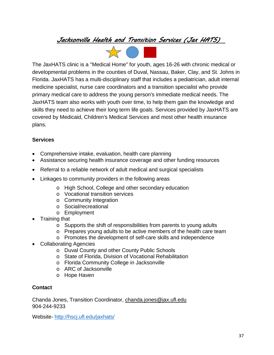## <span id="page-40-1"></span><span id="page-40-0"></span>*Jacksonville Health and Transition Services (Jax HATS)*



The JaxHATS clinic is a ["Medical](http://hscj.ufl.edu/JaxHATS/FAQS.aspx#MedicalHome) Home" for youth, ages 16-26 with chronic medical or developmental problems in the counties of Duval, Nassau, Baker, Clay, and St. Johns in Florida. JaxHATS has a multi-disciplinary staff that includes a pediatrician, adult internal medicine specialist, nurse care coordinators and a transition specialist who provide primary medical care to address the young person's immediate medical needs. The JaxHATS team also works with youth over time, to help them gain the knowledge and skills they need to achieve their long term life goals. Services provided by JaxHATS are covered by Medicaid, Children's Medical Services and most other health insurance plans.

#### **Services**

- Comprehensive intake, evaluation, health care planning
- Assistance securing health insurance coverage and other funding resources
- Referral to a reliable network of adult medical and surgical specialists
- Linkages to community providers in the following areas
	- o High School, College and other secondary education
	- o Vocational transition services
	- o Community Integration
	- o Social/recreational
	- o Employment
- Training that
	- o Supports the shift of responsibilities from parents to young adults
	- o Prepares young adults to be active members of the health care team
	- o Promotes the development of self-care skills and independence
- Collaborating Agencies
	- o Duval County and other County Public Schools
	- o State of Florida, Division of Vocational Rehabilitation
	- o Florida Community College in Jacksonville
	- o ARC of Jacksonville
	- o Hope Haven

#### **Contact**

Chanda Jones, Transition Coordinator, [chanda.jones@jax.ufl.edu](mailto:chanda.jones@jax.ufl.edu) 904-244-9233

Website- <http://hscj.ufl.edu/jaxhats/>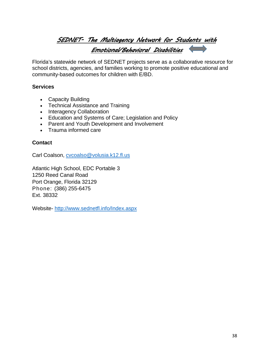# <span id="page-41-0"></span>*SEDNET- The Multiagency Network for Students with Emotional/Behavioral Disabilities*

Florida's statewide network of SEDNET projects serve as a collaborative resource for school districts, agencies, and families working to promote positive educational and community-based outcomes for children with E/BD.

#### **Services**

- Capacity Building
- Technical Assistance and Training
- Interagency Collaboration
- Education and Systems of Care; Legislation and Policy
- Parent and Youth Development and Involvement
- Trauma informed care

#### **Contact**

Carl Coalson, [cvcoalso@volusia.k12.fl.us](mailto:cvcoalso@volusia.k12.fl.us)

Atlantic High School, EDC Portable 3 1250 Reed Canal Road Port Orange, Florida 32129 Phone: (386) 255-6475 Ext. 38332

Website- <http://www.sednetfl.info/Index.aspx>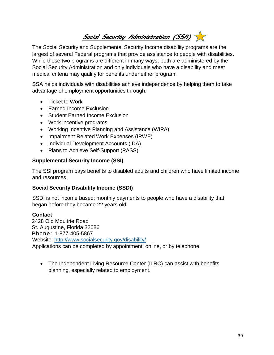<span id="page-42-0"></span>*Social Security Administration (SSA)*

The Social Security and Supplemental Security Income disability programs are the largest of several Federal programs that provide assistance to people with disabilities. While these two programs are different in many ways, both are administered by the Social Security Administration and only individuals who have a disability and meet medical criteria may qualify for benefits under either program.

SSA helps individuals with disabilities achieve independence by helping them to take advantage of employment opportunities through:

- Ticket to Work
- Earned Income Exclusion
- Student Earned Income Exclusion
- Work incentive programs
- Working Incentive Planning and Assistance (WIPA)
- Impairment Related Work Expenses (IRWE)
- Individual Development Accounts (IDA)
- Plans to Achieve Self-Support (PASS)

#### **Supplemental Security Income (SSI)**

The SSI program pays benefits to disabled adults and children who have limited income and resources.

#### **Social Security Disability Income (SSDI)**

SSDI is not income based; monthly payments to people who have a disability that began before they became 22 years old.

#### **Contact**

2428 Old Moultrie Road St. Augustine, Florida 32086 Phone: 1-877-405-5867 Website: <http://www.socialsecurity.gov/disability/> Applications can be completed by appointment, online, or by telephone.

• The Independent Living Resource Center (ILRC) can assist with benefits planning, especially related to employment.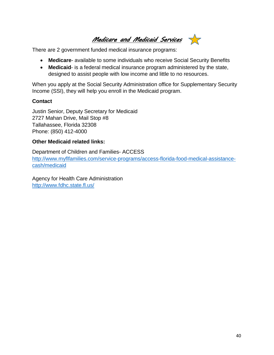*Medicare and Medicaid Services*  $\frac{1}{2}$ 

<span id="page-43-0"></span>There are 2 government funded medical insurance programs:

- **Medicare** available to some individuals who receive Social Security Benefits
- **Medicaid** is a federal medical insurance program administered by the state, designed to assist people with low income and little to no resources.

When you apply at the Social Security Administration office for Supplementary Security Income (SSI), they will help you enroll in the Medicaid program.

#### **Contact**

Justin Senior, Deputy Secretary for Medicaid 2727 Mahan Drive, Mail Stop #8 Tallahassee, Florida 32308 Phone: (850) 412-4000

#### **Other Medicaid related links:**

Department of Children and Families- ACCESS [http://www.myflfamilies.com/service-programs/access-florida-food-medical-assistance](http://www.myflfamilies.com/service-programs/access-florida-food-medical-assistance-cash/medicaid)[cash/medicaid](http://www.myflfamilies.com/service-programs/access-florida-food-medical-assistance-cash/medicaid)

Agency for Health Care Administration <http://www.fdhc.state.fl.us/>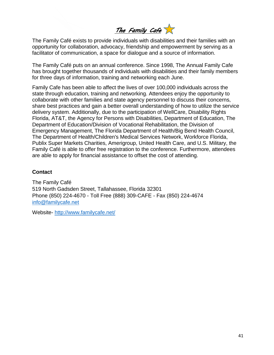<span id="page-44-0"></span>*The Family Cafe*

The Family Café exists to provide individuals with disabilities and their families with an opportunity for collaboration, advocacy, friendship and empowerment by serving as a facilitator of communication, a space for dialogue and a source of information.

The Family Café puts on an annual conference. Since 1998, The Annual Family Cafe has brought together thousands of individuals with disabilities and their family members for three days of information, training and networking each June.

Family Cafe has been able to affect the lives of over 100,000 individuals across the state through education, training and networking. Attendees enjoy the opportunity to collaborate with other families and state agency personnel to discuss their concerns, share best practices and gain a better overall understanding of how to utilize the service delivery system. Additionally, due to the participation of WellCare, Disability Rights Florida, AT&T, the Agency for Persons with Disabilities, Department of Education, The Department of Education/Division of Vocational Rehabilitation, the Division of Emergency Management, The Florida Department of Health/Big Bend Health Council, The Department of Health/Children's Medical Services Network, Workforce Florida, Publix Super Markets Charities, Amerigroup, United Health Care, and U.S. Military, the Family Café is able to offer free registration to the conference. Furthermore, attendees are able to apply for financial assistance to offset the cost of attending.

#### **Contact**

The Family Café 519 North Gadsden Street, Tallahassee, Florida 32301 Phone (850) 224-4670 - Toll Free (888) 309-CAFE - Fax (850) 224-4674 [info@familycafe.net](mailto:info@familycafe.net)

Website- <http://www.familycafe.net/>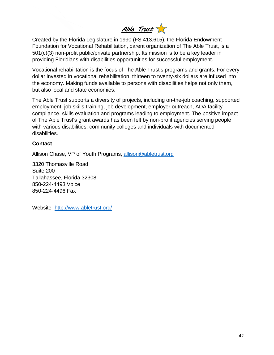<span id="page-45-0"></span>*Able Trust*

Created by the Florida Legislature in 1990 (FS 413.615), the Florida Endowment Foundation for Vocational Rehabilitation, parent organization of The Able Trust, is a 501(c)(3) non-profit public/private partnership. Its mission is to be a key leader in providing Floridians with disabilities opportunities for successful employment.

Vocational rehabilitation is the focus of The Able Trust's programs and grants. For every dollar invested in vocational rehabilitation, thirteen to twenty-six dollars are infused into the economy. Making funds available to persons with disabilities helps not only them, but also local and state economies.

The Able Trust supports a diversity of projects, including on-the-job coaching, supported employment, job skills-training, job development, employer outreach, ADA facility compliance, skills evaluation and programs leading to employment. The positive impact of The Able Trust's grant awards has been felt by non-profit agencies serving people with various disabilities, community colleges and individuals with documented disabilities.

#### **Contact**

Allison Chase, VP of Youth Programs, [allison@abletrust.org](mailto:allison@abletrust.org)

3320 Thomasville Road Suite 200 Tallahassee, Florida 32308 850-224-4493 Voice 850-224-4496 Fax

Website- <http://www.abletrust.org/>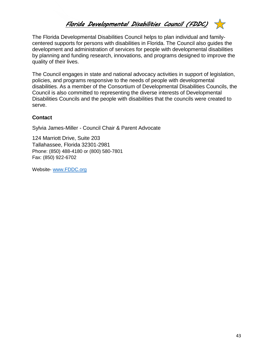# <span id="page-46-0"></span>*Florida Developmental Disabilities Council (FDDC)*

The Florida Developmental Disabilities Council helps to plan individual and familycentered supports for persons with disabilities in Florida. The Council also guides the development and administration of services for people with developmental disabilities by planning and funding research, innovations, and programs designed to improve the quality of their lives.

The Council engages in state and national advocacy activities in support of legislation, policies, and programs responsive to the needs of people with developmental disabilities. As a member of the Consortium of Developmental Disabilities Councils, the Council is also committed to representing the diverse interests of Developmental Disabilities Councils and the people with disabilities that the councils were created to serve.

#### **Contact**

Sylvia James-Miller - Council Chair & Parent Advocate

124 Marriott Drive, Suite 203 Tallahassee, Florida 32301-2981 Phone: (850) 488-4180 or (800) 580-7801 Fax: (850) 922-6702

Website- [www.FDDC.org](http://www.fddc.org/)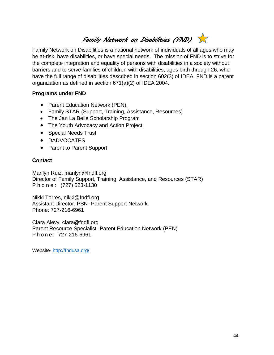# <span id="page-47-0"></span>*Family Network on Disabilities (FND)*

Family Network on Disabilities is a national network of individuals of all ages who may be at-risk, have disabilities, or have special needs. The mission of FND is to strive for the complete integration and equality of persons with disabilities in a society without barriers and to serve families of children with disabilities, ages birth through 26, who have the full range of disabilities described in section 602(3) of IDEA. FND is a parent organization as defined in section 671(a)(2) of IDEA 2004.

#### **Programs under FND**

- Parent Education Network (PEN),
- Family [STAR \(Support,](http://fndusa.org/programs/family-star/) Training, Assistance, Resources)
- The Jan La Belle [Scholarship](http://fndusa.org/programs/the-jan-la-belle-scholarship/) Program
- The Youth Advocacy and [Action Project](http://fndusa.org/programs/youth-advocacy/)
- Special Needs Trust
- DADVOCATES
- Parent to Parent Support

#### **Contact**

Marilyn Ruiz, [marilyn@fndfl.org](mailto:marilyn@fndfl.org) Director of Family Support, Training, Assistance, and Resources (STAR) Phone: (727) 523-1130

Nikki Tor[res, nikki@fndfl.org](mailto:nikki@fndfl.org) Assistant Director, PSN- Parent Support Network Phone: 727-216-6961

Clara Alevy, [clara@fndfl.org](mailto:clara@fndfl.org) Parent Resource Specialist -Parent Education Network (PEN) Phone: 727-216-6961

Website- <http://fndusa.org/>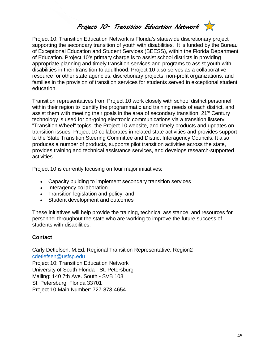<span id="page-48-0"></span>

Project 10: Transition Education Network is Florida's statewide discretionary project supporting the secondary transition of youth with disabilities. It is funded by the Bureau of Exceptional Education and Student Services (BEESS), within the Florida Department of Education. Project 10's primary charge is to assist school districts in providing appropriate planning and timely transition services and programs to assist youth with disabilities in their transition to adulthood. Project 10 also serves as a collaborative resource for other state agencies, discretionary projects, non-profit organizations, and families in the provision of transition services for students served in exceptional student education.

Transition representatives from Project 10 work closely with school district personnel within their region to identify the programmatic and training needs of each district, and assist them with meeting their goals in the area of secondary transition. 21<sup>st</sup> Century technology is used for on-going electronic communications via a transition listserv, "Transition Wheel" topics, the Project 10 website, and timely products and updates on transition issues. Project 10 collaborates in related state activities and provides support to the State Transition Steering Committee and District Interagency Councils. It also produces a number of products, supports pilot transition activities across the state, provides training and technical assistance services, and develops research-supported activities.

Project 10 is currently focusing on four major initiatives:

- Capacity building to implement secondary transition services
- Interagency collaboration
- Transition legislation and policy, and
- Student development and outcomes

These initiatives will help provide the training, technical assistance, and resources for personnel throughout the state who are working to improve the future success of students with disabilities.

#### **Contact**

Carly Detlefsen, M.Ed, Regional Transition Representative, Region2 [cdetlefsen@usfsp.edu](mailto:cdetlefsen@usfsp.edu) Project 10: Transition Education Network University of South Florida - St. Petersburg Mailing: 140 7th Ave. South - SVB 108 St. Petersburg, Florida 33701 Project 10 Main Number: 727-873-4654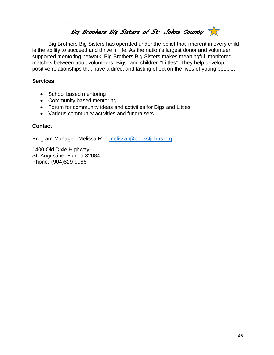# <span id="page-49-0"></span>*Big Brothers Big Sisters of St. Johns County*

Big Brothers Big Sisters has operated under the belief that inherent in every child is the ability to succeed and thrive in life. As the nation's largest donor and volunteer supported mentoring network, Big Brothers Big Sisters makes meaningful, monitored matches between adult volunteers "Bigs" and children "Littles". They help develop positive relationships that have a direct and lasting effect on the lives of young people.

#### **Services**

- School based mentoring
- Community based mentoring
- Forum for community ideas and activities for Bigs and Littles
- Various community activities and fundraisers

#### **Contact**

Program Manager- Melissa R. – [melissar@bbbsstjohns.org](mailto:melissar@bbbsstjohns.org)

1400 Old Dixie Highway St. Augustine, Florida 32084 Phone: (904)829-9986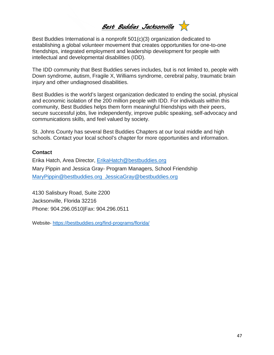*Best Buddies Jacksonville* 

<span id="page-50-0"></span>Best Buddies International is a nonprofit 501(c)(3) organization dedicated to establishing a global volunteer movement that creates opportunities for one-to-one friendships, integrated employment and leadership development for people with intellectual and developmental disabilities (IDD).

The IDD community that Best Buddies serves includes, but is not limited to, people with Down syndrome, autism, Fragile X, Williams syndrome, cerebral palsy, traumatic brain injury and other undiagnosed disabilities.

Best Buddies is the world's largest organization dedicated to ending the social, physical and economic isolation of the 200 million people with IDD. For individuals within this community, Best Buddies helps them form meaningful friendships with their peers, secure successful jobs, live independently, improve public speaking, self-advocacy and communications skills, and feel valued by society.

St. Johns County has several Best Buddies Chapters at our local middle and high schools. Contact your local school's chapter for more opportunities and information.

#### **Contact**

Erika Hatch, Area Director, [ErikaHatch@bestbuddies.org](mailto:ErikaHatch@bestbuddies.org) Mary Pippin and Jessica Gray- Program Managers, School Friendship [MaryPippin@bestbuddies.org](mailto:MaryPippin@bestbuddies.org) [JessicaGray@bestbuddies.org](mailto:MaryPippin@bestbuddies.org)

4130 Salisbury Road, Suite 2200 Jacksonville, Florida 32216 Phone: 904.296.0510|Fax: 904.296.0511

Website- <https://bestbuddies.org/find-programs/florida/>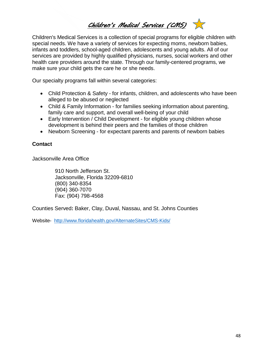<span id="page-51-0"></span>*Children's Medical Services (CMS)* 

Children's Medical Services is a collection of special programs for eligible children with special needs. We have a variety of services for expecting moms, newborn babies, infants and toddlers, school-aged children, adolescents and young adults. All of our services are provided by highly qualified physicians, nurses, social workers and other health care providers around the state. Through our family-centered programs, we make sure your child gets the care he or she needs.

Our specialty programs fall within several categories:

- Child [Protection &](http://www.floridahealth.gov/AlternateSites/CMS-Kids/families/child_protection_safety/child_protection_safety.html) Safety for infants, children, and adolescents who have been alleged to be abused or neglected
- Child & Family [Information](http://www.floridahealth.gov/AlternateSites/CMS-Kids/families/child_family_info/child_family_info.html) for families seeking information about parenting, family care and support, and overall well-being of your child
- Early Intervention / Child [Development](http://www.floridahealth.gov/AlternateSites/CMS-Kids/families/early_steps/early_steps.html) for [eligible](http://www.cms-kids.com/families/early_steps/eligibility.html) young children whose development is behind their peers and the families of those children
- Newborn [Screening](http://www.floridahealth.gov/AlternateSites/CMS-Kids/families/newborn_screening/newborn_screening.html) for expectant parents and parents of newborn babies

#### **Contact**

Jacksonville Area Office

910 North Jefferson St. Jacksonville, Florida 32209-6810 (800) 340-8354 (904) 360-7070 Fax: (904) 798-4568

Counties Served**:** Baker, Clay, Duval, Nassau, and St. Johns Counties

Website- <http://www.floridahealth.gov/AlternateSites/CMS-Kids/>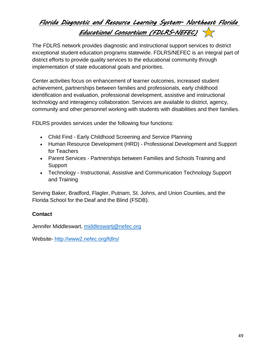# <span id="page-52-0"></span>*Florida Diagnostic and Resource Learning System- Northeast Florida Educational Consortium (FDLRS-NEFEC)*

The FDLRS network provides diagnostic and instructional support services to district exceptional student education programs statewide. FDLRS/NEFEC is an integral part of district efforts to provide quality services to the educational community through implementation of state educational goals and priorities.

Center activities focus on enhancement of learner outcomes, increased student achievement, partnerships between families and professionals, early childhood identification and evaluation, professional development, assistive and instructional technology and interagency collaboration. Services are available to district, agency, community and other personnel working with students with disabilities and their families.

FDLRS provides services under the following four functions:

- [Child](http://www2.nefec.org/fdlrs/childfind/) Find Early Childhood Screening and Service Planning
- Human Resource [Development](http://www2.nefec.org/fdlrs/hrdservices/) (HRD) Professional Development and Support for Teachers
- Parent [Services](http://www2.nefec.org/fdlrs/parent/) Partnerships between Families and Schools Training and **Support**
- [Technology](http://www2.nefec.org/fdlrs/technology/) Instructional, Assistive and Communication Technology Support and Training

Serving Baker, Bradford, Flagler, Putnam, St. Johns, and Union Counties, and the Florida School for the Deaf and the Blind (FSDB).

#### **Contact**

Jennifer Middleswart, [middleswartj@nefec.org](mailto:middleswartj@nefec.org)

Website- <http://www2.nefec.org/fdlrs/>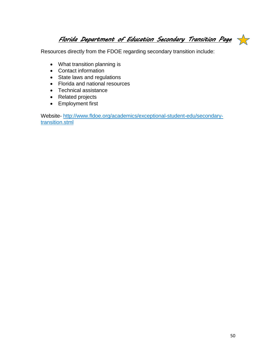<span id="page-53-0"></span>*Florida Department of Education Secondary Transition Page* 

Resources directly from the FDOE regarding secondary transition include:

- What transition planning is
- Contact information
- State laws and regulations
- Florida and national resources
- Technical assistance
- Related projects
- Employment first

Website- [http://www.fldoe.org/academics/exceptional-student-edu/secondary](http://www.fldoe.org/academics/exceptional-student-edu/secondary-transition.stml)[transition.stml](http://www.fldoe.org/academics/exceptional-student-edu/secondary-transition.stml)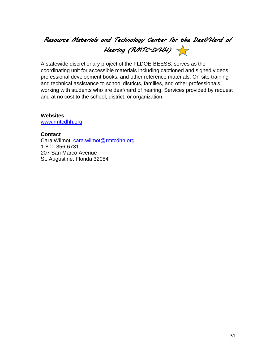# *Resource Materials and Technology Center for the Deaf/Hard of Hearing (RMTC-D/HH)*

A statewide discretionary project of the FLDOE-BEESS, serves as the coordinating unit for accessible materials including captioned and signed videos, professional development books, and other reference materials. On-site training and technical assistance to school districts, families, and other professionals working with students who are deaf/hard of hearing. Services provided by request and at no cost to the school, district, or organization.

#### **Websites**

[www.rmtcdhh.org](http://www.rmtcdhh.org/)

#### **Contact**

Cara Wilmot, [cara.wilmot@rmtcdhh.org](mailto:cara.wilmot@rmtcdhh.org) 1-800-356-6731 207 San Marco Avenue St. Augustine, Florida 32084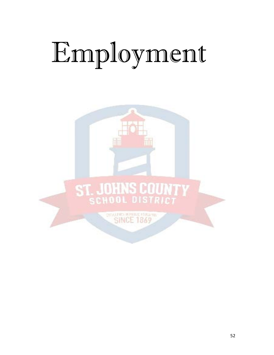# <span id="page-55-0"></span>Employment

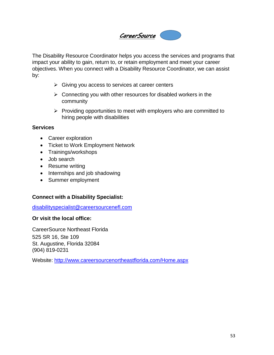<span id="page-56-0"></span>

The Disability Resource Coordinator helps you access the services and programs that impact your ability to gain, return to, or retain employment and meet your career objectives. When you connect with a Disability Resource Coordinator, we can assist by:

- $\triangleright$  Giving you access to services at career centers
- $\triangleright$  Connecting you with other resources for disabled workers in the community
- $\triangleright$  Providing opportunities to meet with employers who are committed to hiring people with disabilities

#### **Services**

- Career exploration
- Ticket to Work Employment Network
- Trainings/workshops
- Job search
- Resume writing
- Internships and job shadowing
- Summer employment

#### **Connect with a Disability Specialist:**

[disabilityspecialist@careersourcenefl.com](mailto:disabilityspecialist@careersourcenefl.com)

#### **Or visit the local office:**

CareerSource Northeast Florida 525 SR 16, Ste 109 St. Augustine, Florida 32084 (904) 819-0231

Website: <http://www.careersourcenortheastflorida.com/Home.aspx>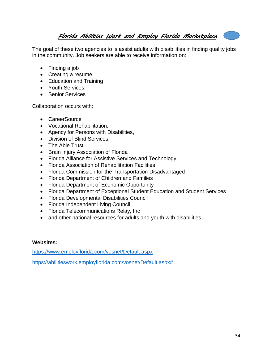<span id="page-57-0"></span>*Florida Abilities Work and Employ Florida Marketplace* 

The goal of these two agencies to is assist adults with disabilities in finding quality jobs in the community. Job seekers are able to receive information on:

- Finding a job
- Creating a resume
- Education and Training
- Youth Services
- Senior Services

Collaboration occurs with:

- CareerSource
- Vocational Rehabilitation,
- Agency for Persons with Disabilities,
- Division of Blind Services,
- The Able Trust
- Brain Injury Association of Florida
- Florida Alliance for Assistive Services and Technology
- Florida Association of Rehabilitation Facilities
- Florida Commission for the Transportation Disadvantaged
- Florida Department of Children and Families
- Florida Department of Economic Opportunity
- Florida Department of Exceptional Student Education and Student Services
- Florida Developmental Disabilities Council
- Florida Independent Living Council
- Florida Telecommunications Relay, Inc
- and other national resources for adults and youth with disabilities...

#### **Websites:**

<https://www.employflorida.com/vosnet/Default.aspx>

[https://abilitieswork.employflorida.com/vosnet/Default.aspx#](https://abilitieswork.employflorida.com/vosnet/Default.aspx)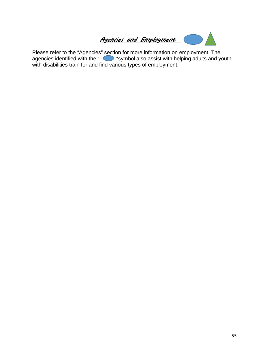<span id="page-58-0"></span>

Please refer to the "Agencies" section for more information on employment. The agencies identified with the " (symbol also assist with helping adults and youth with disabilities train for and find various types of employment.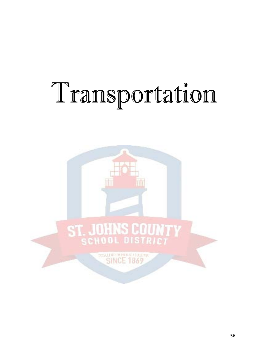# <span id="page-59-0"></span>Transportation

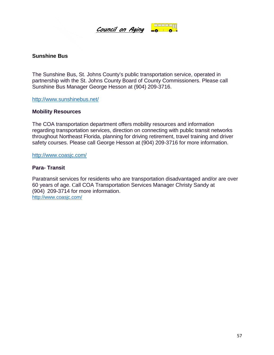<span id="page-60-0"></span>

#### **Sunshine Bus**

The Sunshine Bus, St. Johns County's public transportation service, operated in partnership with the St. Johns County Board of County Commissioners. Please call Sunshine Bus Manager George Hesson at (904) 209-3716.

<http://www.sunshinebus.net/>

#### **Mobility Resources**

The COA transportation department offers mobility resources and information regarding transportation services, direction on connecting with public transit networks throughout Northeast Florida, planning for driving retirement, travel training and driver safety courses. Please call George Hesson at (904) 209-3716 for more information.

<http://www.coasjc.com/>

#### **Para- Transit**

Paratransit services for residents who are transportation disadvantaged and/or are over 60 years of age. Call COA Transportation Services Manager Christy Sandy at (904) 209-3714 for more information. <http://www.coasjc.com/>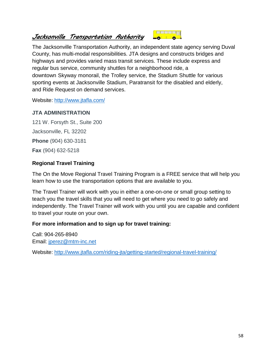# <span id="page-61-0"></span>*Jacksonville Transportation Authority*

The Jacksonville Transportation Authority, an independent state agency serving Duval County, has multi-modal responsibilities. JTA designs and constructs bridges and highways and provides varied mass transit services. These include express and regular [bus service,](http://www.jtafla.com/schedules/bus-schedules/) community shuttles for a neighborhood ride, a downtown [Skyway](http://www.jtafla.com/schedules/skyway/) monorail, the Trolley service, the [Stadium Shuttle](http://www.jtafla.com/schedules/gameday-xpress/) for various sporting events at Jacksonville Stadium, [Paratransit](http://www.jtafla.com/schedules/paratransit/) for the disabled and elderly, and Ride [Request](http://www.jtafla.com/schedules/paratransit/) on demand services.

**BEBRET** 

Website: <http://www.jtafla.com/>

#### **JTA ADMINISTRATION**

121 W. Forsyth St., Suite 200 Jacksonville, FL 32202 **Phone** (904) 630-3181 **Fax** (904) 632-5218

#### **Regional Travel Training**

The On the Move Regional Travel Training Program is a FREE service that will help you learn how to use the transportation options that are available to you.

The Travel Trainer will work with you in either a one-on-one or small group setting to teach you the travel skills that you will need to get where you need to go safely and independently. The Travel Trainer will work with you until you are capable and confident to travel your route on your own.

#### **For more information and to sign up for travel training:**

Call: 904-265-8940 Email: [jperez@mtm-inc.net](mailto:jperez@mtm-inc.net)

Website: <http://www.jtafla.com/riding-jta/getting-started/regional-travel-training/>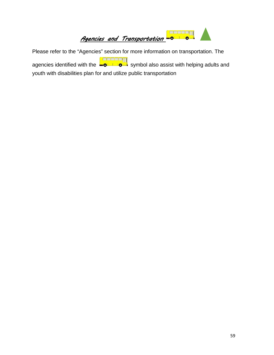<span id="page-62-0"></span>

Please refer to the "Agencies" section for more information on transportation. The agencies identified with the **source and symbol also assist with helping adults and** youth with disabilities plan for and utilize public transportation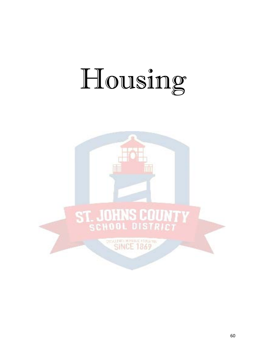# <span id="page-63-0"></span>Housing

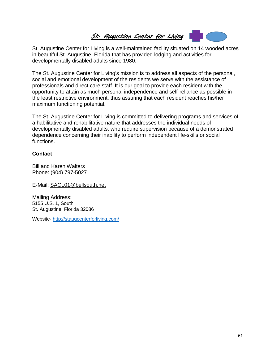<span id="page-64-0"></span>

St. Augustine Center for Living is a well-maintained facility situated on 14 wooded acres in beautiful St. Augustine, Florida that has provided lodging and activities for developmentally disabled adults since 1980.

The St. Augustine Center for Living's mission is to address all aspects of the personal, social and emotional development of the residents we serve with the assistance of professionals and direct care staff. It is our goal to provide each resident with the opportunity to attain as much personal independence and self-reliance as possible in the least restrictive environment, thus assuring that each resident reaches his/her maximum functioning potential.

The St. Augustine Center for Living is committed to delivering programs and services of a habilitative and rehabilitative nature that addresses the individual needs of developmentally disabled adults, who require supervision because of a demonstrated dependence concerning their inability to perform independent life-skills or social functions.

#### **Contact**

Bill and Karen Walters Phone: (904) 797-5027

E-Mail: [SACL01@bellsouth.net](mailto:SACL01@bellsouth.net)

Mailing Address: 5155 U.S. 1, South St. Augustine, Florida 32086

Website- <http://staugcenterforliving.com/>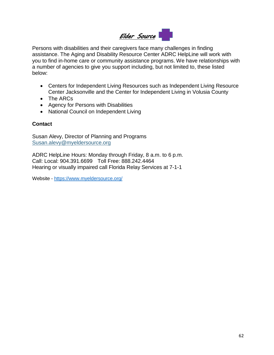# <span id="page-65-0"></span>*Elder Source*

Persons with disabilities and their caregivers face many challenges in finding assistance. The Aging and Disability Resource Center ADRC HelpLine will work with you to find in-home care or community assistance programs. We have relationships with a number of agencies to give you support including, but not limited to, these listed below:

- Centers for Independent [Living Resources](http://www.rehabworks.org/cil_map.shtml) such as Independent Living Resource [Center Jacksonville](http://www.rehabworks.org/cil_map.shtml) and the Center for Independent Living in Volusia County
- The [ARCs](http://www.thearc.org/)
- Agency for Persons with [Disabilities](http://apd.myflorida.com/)
- National Council on [Independent](http://www.ncil.org/) Living

#### **Contact**

Susan Alevy, Director of Planning and Programs [Susan.alevy@myeldersource.org](mailto:Susan.alevy@myeldersource.org)

ADRC HelpLine Hours: Monday through Friday, 8 a.m. to 6 p.m. Call: Local: 904.391.6699 Toll Free: 888.242.4464 Hearing or visually impaired call Florida Relay Services at 7-1-1

Website - <https://www.myeldersource.org/>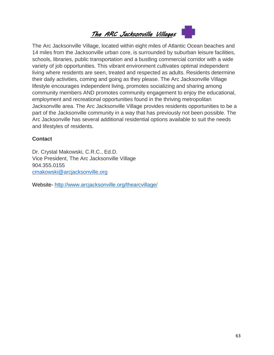<span id="page-66-0"></span>

The Arc Jacksonville Village, located within eight miles of Atlantic Ocean beaches and 14 miles from the Jacksonville urban core, is surrounded by suburban leisure facilities, schools, libraries, public transportation and a bustling commercial corridor with a wide variety of job opportunities. This vibrant environment cultivates optimal independent living where residents are seen, treated and respected as adults. Residents determine their daily activities, coming and going as they please. The Arc Jacksonville Village lifestyle encourages independent living, promotes socializing and sharing among community members AND promotes community engagement to enjoy the educational, employment and recreational opportunities found in the thriving metropolitan Jacksonville area. The Arc Jacksonville Village provides residents opportunities to be a part of the Jacksonville community in a way that has previously not been possible. The Arc Jacksonville has several additional residential options available to suit the needs and lifestyles of residents.

#### **Contact**

Dr. Crystal Makowski, C.R.C., Ed.D. Vice President, The Arc Jacksonville Village 904.355.0155 [cmakowski@arcjacksonville.org](mailto:cmakowski@arcjacksonville.org)

Website- <http://www.arcjacksonville.org/thearcvillage/>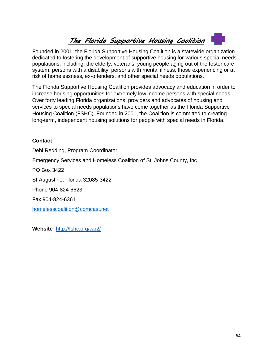# *The Florida Supportive Housing Coalition*

Founded in 2001, the Florida Supportive Housing Coalition is a statewide organization dedicated to fostering the development of supportive housing for various special needs populations, including: the elderly, veterans, young people aging out of the foster care system, persons with a disability, persons with mental illness, those experiencing or at risk of homelessness, ex-offenders, and other special needs populations.

The Florida Supportive Housing Coalition provides advocacy and education in order to increase housing opportunities for extremely low income persons with special needs. Over forty leading Florida organizations, providers and advocates of housing and services to special needs populations have come together as the Florida Supportive Housing Coalition (FSHC). Founded in 2001, the Coalition is committed to creating long-term, independent housing solutions for people with special needs in Florida.

#### **Contact**

Debi Redding, Program Coordinator Emergency Services and Homeless Coalition of St. Johns County, Inc PO Box 3422 St Augustine, Florida 32085-3422 Phone 904-824-6623 Fax 904-824-6361 [homelesscoalition@comcast.net](mailto:homelesscoalition@comcast.net)

**Website**- <http://fshc.org/wp2/>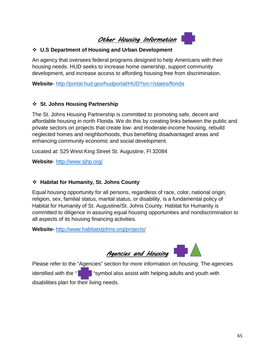*Other Housing Information*

#### <span id="page-68-0"></span>**U.S Department of Housing and Urban Development**

An agency that oversees federal programs designed to help Americans with their housing needs. HUD seeks to increase home ownership, support community development, and increase access to affording housing free from discrimination.

**Website**- http://portal.hud.gov/hudportal/HUD?src=/states/florida

#### **St. Johns Housing Partnership**

The St. Johns Housing Partnership is committed to promoting safe, decent and affordable housing in north Florida. We do this by creating links between the public and private sectors on projects that create low- and moderate-income housing, rebuild neglected homes and neighborhoods, thus benefiting disadvantaged areas and enhancing community economic and social development.

Located at: 525 West King Street St. Augustine, Fl 32084

**Website**- <http://www.sjhp.org/>

#### **Habitat for Humanity, St. Johns County**

Equal housing opportunity for all persons, regardless of race, color, national origin, religion, sex, familial status, marital status, or disability, is a fundamental policy of Habitat for Humanity of St. Augustine/St. Johns County. Habitat for Humanity is committed to diligence in assuring equal housing opportunities and nondiscrimination to all aspects of its housing financing activities.

**Website-** <http://www.habitatstjohns.org/projects/>



<span id="page-68-1"></span>Please refer to the "Agencies" section for more information on housing. The agencies identified with the " " " " " symbol also assist with helping adults and youth with disabilities plan for their living needs.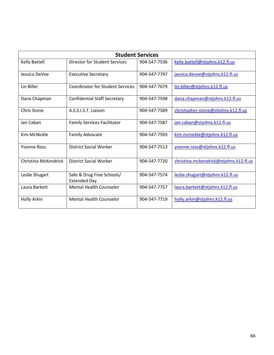| <b>Student Services</b> |                                                  |              |                                        |
|-------------------------|--------------------------------------------------|--------------|----------------------------------------|
| Kelly Battell           | <b>Director for Student Services</b>             | 904-547-7536 | kelly.battell@stjohns.k12.fl.us        |
| Jessica DeVoe           | <b>Executive Secretary</b>                       | 904-547-7797 | jessica.devoe@stjohns.k12.fl.us        |
| Lin Biller              | <b>Coordinator for Student Services</b>          | 904-547-7679 | lin.biller@stjohns.k12.fl.us           |
| Dana Chapman            | <b>Confidential Staff Secretary</b>              | 904-547-7598 | dana.chapman@stjohns.k12.fl.us         |
| <b>Chris Stone</b>      | A.S.S.I.S.T. Liaison                             | 904-547-7589 | christopher.stone@stjohns.k12.fl.us    |
| Jan Caban               | <b>Family Services Facilitator</b>               | 904-547-7587 | jan.caban@stjohns.k12.fl.us            |
| Kim McNickle            | Family Advocate                                  | 904-547-7593 | kim.mcnickle@stjohns.k12.fl.us         |
| <b>Yvonne Ross</b>      | <b>District Social Worker</b>                    | 904-547-7513 | yvonne.ross@stjohns.k12.fl.us          |
| Christina McKendrick    | <b>District Social Worker</b>                    | 904-547-7720 | christina.mckendrick@stjohns.k12.fl.us |
| Leslie Shugart          | Safe & Drug Free Schools/<br><b>Extended Day</b> | 904-547-7574 | leslie.shugart@stjohns.k12.fl.us       |
| Laura Barkett           | <b>Mental Health Counselor</b>                   | 904-547-7757 | laura.barkett@stjohns.k12.fl.us        |
| Holly Arkin             | Mental Health Counselor                          | 904-547-7719 | holly.arkin@stjohns.k12.fl.us          |